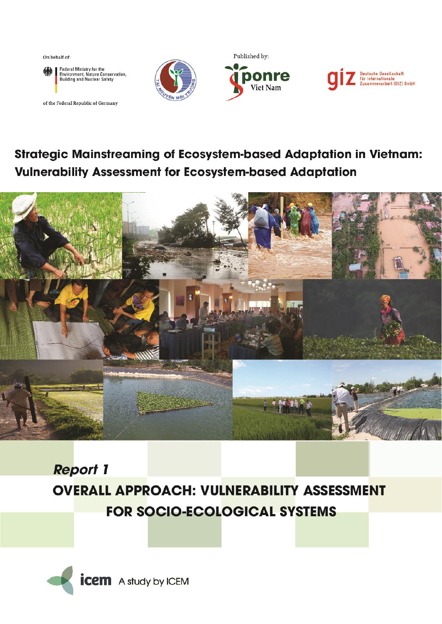On behalf of:



of the Federal Republic of Germany







## Strategic Mainstreaming of Ecosystem-based Adaptation in Vietnam: **Vulnerability Assessment for Ecosystem-based Adaptation**



# **Report 1 OVERALL APPROACH: VULNERABILITY ASSESSMENT FOR SOCIO-ECOLOGICAL SYSTEMS**

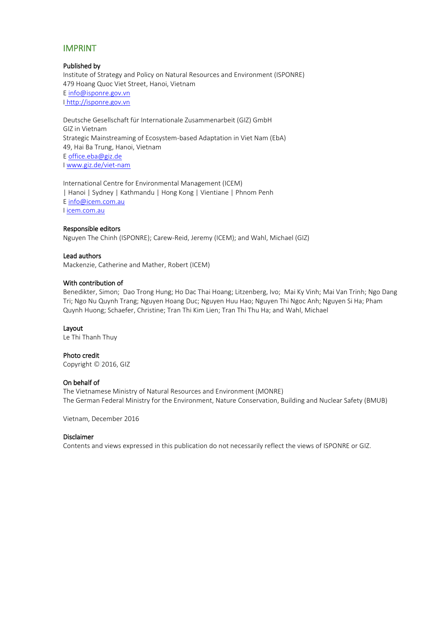#### IMPRINT

#### Published by

Institute of Strategy and Policy on Natural Resources and Environment (ISPONRE) 479 Hoang Quoc Viet Street, Hanoi, Vietnam E [info@isponre.gov.vn](mailto:info@isponre.gov.vn) I http://isponre.gov.vn

Deutsche Gesellschaft für Internationale Zusammenarbeit (GIZ) GmbH GIZ in Vietnam Strategic Mainstreaming of Ecosystem-based Adaptation in Viet Nam (EbA) 49, Hai Ba Trung, Hanoi, Vietnam E [office.eba@giz.de](mailto:office.eba@giz.de) I [www.giz.de/viet-nam](http://www.giz.de/viet-nam)

International Centre for Environmental Management (ICEM) | Hanoi | Sydney | Kathmandu | Hong Kong | Vientiane | Phnom Penh E [info@icem.com.au](mailto:Mailto:info@icem.com.au) I [icem.com.au](http://icem.com.au/)

#### Responsible editors

Nguyen The Chinh (ISPONRE); Carew-Reid, Jeremy (ICEM); and Wahl, Michael (GIZ)

#### Lead authors

Mackenzie, Catherine and Mather, Robert (ICEM)

#### With contribution of

Benedikter, Simon; Dao Trong Hung; Ho Dac Thai Hoang; Litzenberg, Ivo; Mai Ky Vinh; Mai Van Trinh; Ngo Dang Tri; Ngo Nu Quynh Trang; Nguyen Hoang Duc; Nguyen Huu Hao; Nguyen Thi Ngoc Anh; Nguyen Si Ha; Pham Quynh Huong; Schaefer, Christine; Tran Thi Kim Lien; Tran Thi Thu Ha; and Wahl, Michael

#### Layout

Le Thi Thanh Thuy

#### Photo credit

Copyright © 2016, GIZ

#### On behalf of

The Vietnamese Ministry of Natural Resources and Environment (MONRE) The German Federal Ministry for the Environment, Nature Conservation, Building and Nuclear Safety (BMUB)

Vietnam, December 2016

#### Disclaimer

Contents and views expressed in this publication do not necessarily reflect the views of ISPONRE or GIZ.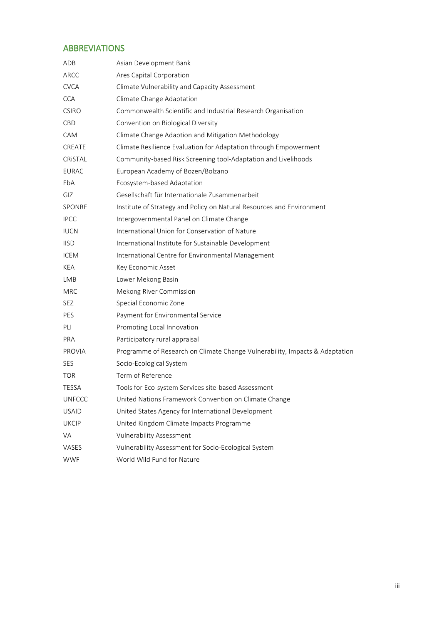## <span id="page-2-0"></span>ABBREVIATIONS

| ADB           | Asian Development Bank                                                      |
|---------------|-----------------------------------------------------------------------------|
| ARCC          | Ares Capital Corporation                                                    |
| <b>CVCA</b>   | Climate Vulnerability and Capacity Assessment                               |
| <b>CCA</b>    | Climate Change Adaptation                                                   |
| <b>CSIRO</b>  | Commonwealth Scientific and Industrial Research Organisation                |
| CBD           | Convention on Biological Diversity                                          |
| CAM           | Climate Change Adaption and Mitigation Methodology                          |
| CREATE        | Climate Resilience Evaluation for Adaptation through Empowerment            |
| CRISTAL       | Community-based Risk Screening tool-Adaptation and Livelihoods              |
| <b>EURAC</b>  | European Academy of Bozen/Bolzano                                           |
| EbA           | Ecosystem-based Adaptation                                                  |
| <b>GIZ</b>    | Gesellschaft für Internationale Zusammenarbeit                              |
| <b>SPONRE</b> | Institute of Strategy and Policy on Natural Resources and Environment       |
| <b>IPCC</b>   | Intergovernmental Panel on Climate Change                                   |
| <b>IUCN</b>   | International Union for Conservation of Nature                              |
| <b>IISD</b>   | International Institute for Sustainable Development                         |
| <b>ICEM</b>   | International Centre for Environmental Management                           |
| KEA           | Key Economic Asset                                                          |
| LMB           | Lower Mekong Basin                                                          |
| <b>MRC</b>    | Mekong River Commission                                                     |
| <b>SEZ</b>    | Special Economic Zone                                                       |
| <b>PES</b>    | Payment for Environmental Service                                           |
| PLI           | Promoting Local Innovation                                                  |
| <b>PRA</b>    | Participatory rural appraisal                                               |
| <b>PROVIA</b> | Programme of Research on Climate Change Vulnerability, Impacts & Adaptation |
| <b>SES</b>    | Socio-Ecological System                                                     |
| <b>TOR</b>    | Term of Reference                                                           |
| <b>TESSA</b>  | Tools for Eco-system Services site-based Assessment                         |
| <b>UNFCCC</b> | United Nations Framework Convention on Climate Change                       |
| <b>USAID</b>  | United States Agency for International Development                          |
| <b>UKCIP</b>  | United Kingdom Climate Impacts Programme                                    |
| VA            | <b>Vulnerability Assessment</b>                                             |
| VASES         | Vulnerability Assessment for Socio-Ecological System                        |
| <b>WWF</b>    | World Wild Fund for Nature                                                  |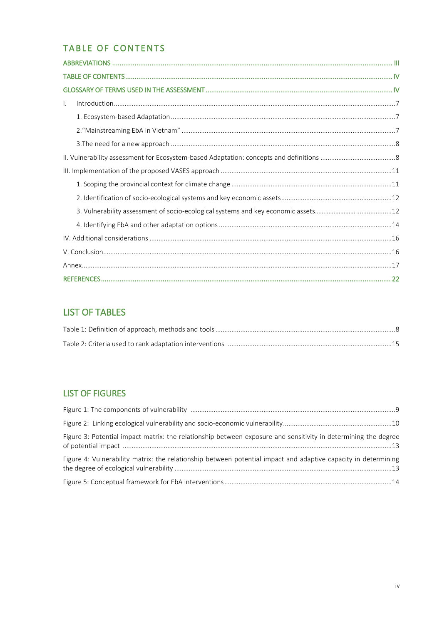## <span id="page-3-0"></span>TABLE OF CONTENTS

| $\mathsf{L}$ |  |
|--------------|--|
|              |  |
|              |  |
|              |  |
|              |  |
|              |  |
|              |  |
|              |  |
|              |  |
|              |  |
|              |  |
|              |  |
|              |  |
|              |  |

## **LIST OF TABLES**

## **LIST OF FIGURES**

<span id="page-3-1"></span>

| Figure 3: Potential impact matrix: the relationship between exposure and sensitivity in determining the degree |  |
|----------------------------------------------------------------------------------------------------------------|--|
| Figure 4: Vulnerability matrix: the relationship between potential impact and adaptive capacity in determining |  |
|                                                                                                                |  |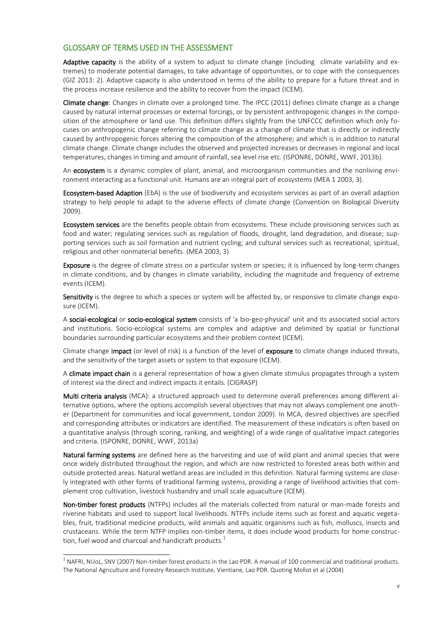#### GLOSSARY OF TERMS USED IN THE ASSESSMENT

Adaptive capacity is the ability of a system to adjust to climate change (including climate variability and extremes) to moderate potential damages, to take advantage of opportunities, or to cope with the consequences (GIZ 2013: 2). Adaptive capacity is also understood in terms of the ability to prepare for a future threat and in the process increase resilience and the ability to recover from the impact (ICEM).

Climate change: Changes in climate over a prolonged time. The IPCC (2011) defines climate change as a change caused by natural internal processes or external forcings, or by persistent anthropogenic changes in the composition of the atmosphere or land use. This definition differs slightly from the UNFCCC definition which only focuses on anthropogenic change referring to climate change as a change of climate that is directly or indirectly caused by anthropogenic forces altering the composition of the atmosphere; and which is in addition to natural climate change. Climate change includes the observed and projected increases or decreases in regional and local temperatures, changes in timing and amount of rainfall, sea level rise etc. (ISPONRE, DONRE, WWF, 2013b).

An ecosystem is a dynamic complex of plant, animal, and microorganism communities and the nonliving environment interacting as a functional unit. Humans are an integral part of ecosystems (MEA 1 2003, 3).

Ecosystem-based Adaption (EbA) is the use of biodiversity and ecosystem services as part of an overall adaption strategy to help people to adapt to the adverse effects of climate change (Convention on Biological Diversity 2009).

Ecosystem services are the benefits people obtain from ecosystems. These include provisioning services such as food and water; regulating services such as regulation of floods, drought, land degradation, and disease; supporting services such as soil formation and nutrient cycling; and cultural services such as recreational, spiritual, religious and other nonmaterial benefits. (MEA 2003, 3)

Exposure is the degree of climate stress on a particular system or species; it is influenced by long-term changes in climate conditions, and by changes in climate variability, including the magnitude and frequency of extreme events (ICEM).

Sensitivity is the degree to which a species or system will be affected by, or responsive to climate change exposure (ICEM).

A social-ecological or socio-ecological system consists of 'a bio-geo-physical' unit and its associated social actors and institutions. Socio-ecological systems are complex and adaptive and delimited by spatial or functional boundaries surrounding particular ecosystems and their problem context (ICEM).

Climate change **impact** (or level of risk) is a function of the level of exposure to climate change induced threats, and the sensitivity of the target assets or system to that exposure (ICEM).

A **climate impact chain** is a general representation of how a given climate stimulus propagates through a system of interest via the direct and indirect impacts it entails. (CIGRASP)

Multi criteria analysis (MCA): a structured approach used to determine overall preferences among different alternative options, where the options accomplish several objectives that may not always complement one another (Department for communities and local government, London 2009). In MCA, desired objectives are specified and corresponding attributes or indicators are identified. The measurement of these indicators is often based on a quantitative analysis (through scoring, ranking, and weighting) of a wide range of qualitative impact categories and criteria. (ISPONRE, DONRE, WWF, 2013a)

Natural farming systems are defined here as the harvesting and use of wild plant and animal species that were once widely distributed throughout the region, and which are now restricted to forested areas both within and outside protected areas. Natural wetland areas are included in this definition. Natural farming systems are closely integrated with other forms of traditional farming systems, providing a range of livelihood activities that complement crop cultivation, livestock husbandry and small scale aquaculture (ICEM).

Non-timber forest products (NTFPs) includes all the materials collected from natural or man-made forests and riverine habitats and used to support local livelihoods. NTFPs include items such as forest and aquatic vegetables, fruit, traditional medicine products, wild animals and aquatic organisms such as fish, molluscs, insects and crustaceans. While the term NTFP implies non-timber items, it does include wood products for home construction, fuel wood and charcoal and handicraft products.<sup>1</sup>

 1 NAFRI, NUoL, SNV (2007) Non-timber forest products in the Lao PDR. A manual of 100 commercial and traditional products. The National Agriculture and Forestry Research Institute, Vientiane, Lao PDR. Quoting Mollot et al (2004)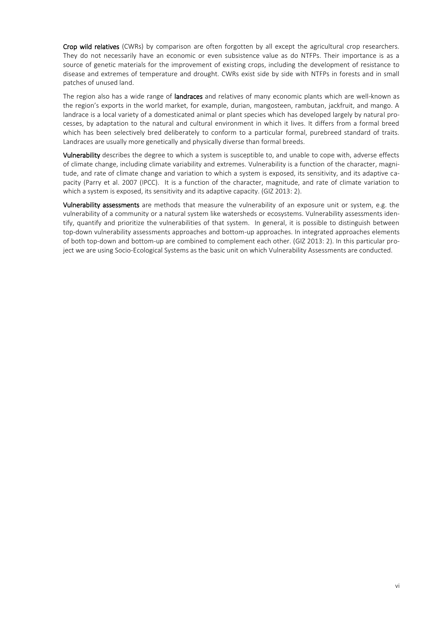Crop wild relatives (CWRs) by comparison are often forgotten by all except the agricultural crop researchers. They do not necessarily have an economic or even subsistence value as do NTFPs. Their importance is as a source of genetic materials for the improvement of existing crops, including the development of resistance to disease and extremes of temperature and drought. CWRs exist side by side with NTFPs in forests and in small patches of unused land.

The region also has a wide range of landraces and relatives of many economic plants which are well-known as the region's exports in the world market, for example, durian, mangosteen, rambutan, jackfruit, and mango. A landrace is a local variety of a domesticated animal or plant species which has developed largely by natural processes, by adaptation to the natural and cultural environment in which it lives. It differs from a formal breed which has been selectively bred deliberately to conform to a particular formal, purebreed standard of traits. Landraces are usually more genetically and physically diverse than formal breeds.

Vulnerability describes the degree to which a system is susceptible to, and unable to cope with, adverse effects of climate change, including climate variability and extremes. Vulnerability is a function of the character, magnitude, and rate of climate change and variation to which a system is exposed, its sensitivity, and its adaptive capacity (Parry et al. 2007 (IPCC). It is a function of the character, magnitude, and rate of climate variation to which a system is exposed, its sensitivity and its adaptive capacity. (GIZ 2013: 2).

<span id="page-5-0"></span>Vulnerability assessments are methods that measure the vulnerability of an exposure unit or system, e.g. the vulnerability of a community or a natural system like watersheds or ecosystems. Vulnerability assessments identify, quantify and prioritize the vulnerabilities of that system. In general, it is possible to distinguish between top-down vulnerability assessments approaches and bottom-up approaches. In integrated approaches elements of both top-down and bottom-up are combined to complement each other. (GIZ 2013: 2). In this particular project we are using Socio-Ecological Systems as the basic unit on which Vulnerability Assessments are conducted.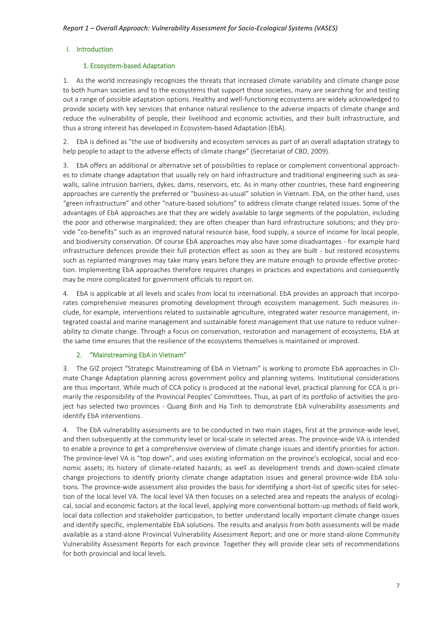#### <span id="page-6-0"></span>I. Introduction

#### 1. Ecosystem-based Adaptation

1. As the world increasingly recognizes the threats that increased climate variability and climate change pose to both human societies and to the ecosystems that support those societies, many are searching for and testing out a range of possible adaptation options. Healthy and well-functioning ecosystems are widely acknowledged to provide society with key services that enhance natural resilience to the adverse impacts of climate change and reduce the vulnerability of people, their livelihood and economic activities, and their built infrastructure, and thus a strong interest has developed in Ecosystem-based Adaptation (EbA).

2. EbA is defined as "the use of biodiversity and ecosystem services as part of an overall adaptation strategy to help people to adapt to the adverse effects of climate change" (Secretariat of CBD, 2009).

3. EbA offers an additional or alternative set of possibilities to replace or complement conventional approaches to climate change adaptation that usually rely on hard infrastructure and traditional engineering such as seawalls, saline intrusion barriers, dykes, dams, reservoirs, etc. As in many other countries, these hard engineering approaches are currently the preferred or "business-as-usual" solution in Vietnam. EbA, on the other hand, uses "green infrastructure" and other "nature-based solutions" to address climate change related issues. Some of the advantages of EbA approaches are that they are widely available to large segments of the population, including the poor and otherwise marginalized; they are often cheaper than hard infrastructure solutions; and they provide "co-benefits" such as an improved natural resource base, food supply, a source of income for local people, and biodiversity conservation. Of course EbA approaches may also have some disadvantages - for example hard infrastructure defences provide their full protection effect as soon as they are built - but restored ecosystems such as replanted mangroves may take many years before they are mature enough to provide effective protection. Implementing EbA approaches therefore requires changes in practices and expectations and consequently may be more complicated for government officials to report on.

4. EbA is applicable at all levels and scales from local to international. EbA provides an approach that incorporates comprehensive measures promoting development through ecosystem management. Such measures include, for example, interventions related to sustainable agriculture, integrated water resource management, integrated coastal and marine management and sustainable forest management that use nature to reduce vulnerability to climate change. Through a focus on conservation, restoration and management of ecosystems, EbA at the same time ensures that the resilience of the ecosystems themselves is maintained or improved.

#### <span id="page-6-1"></span>2. "Mainstreaming EbA in Vietnam"

3. The GIZ project "Strategic Mainstreaming of EbA in Vietnam" is working to promote EbA approaches in Climate Change Adaptation planning across government policy and planning systems. Institutional considerations are thus important. While much of CCA policy is produced at the national level, practical planning for CCA is primarily the responsibility of the Provincial Peoples' Committees. Thus, as part of its portfolio of activities the project has selected two provinces - Quang Binh and Ha Tinh to demonstrate EbA vulnerability assessments and identify EbA interventions.

4. The EbA vulnerability assessments are to be conducted in two main stages, first at the province-wide level, and then subsequently at the community level or local-scale in selected areas. The province-wide VA is intended to enable a province to get a comprehensive overview of climate change issues and identify priorities for action. The province-level VA is "top down", and uses existing information on the province's ecological, social and economic assets; its history of climate-related hazards; as well as development trends and down-scaled climate change projections to identify priority climate change adaptation issues and general province-wide EbA solutions. The province-wide assessment also provides the basis for identifying a short-list of specific sites for selection of the local level VA. The local level VA then focuses on a selected area and repeats the analysis of ecological, social and economic factors at the local level, applying more conventional bottom-up methods of field work, local data collection and stakeholder participation, to better understand locally important climate change issues and identify specific, implementable EbA solutions. The results and analysis from both assessments will be made available as a stand-alone Provincial Vulnerability Assessment Report; and one or more stand-alone Community Vulnerability Assessment Reports for each province. Together they will provide clear sets of recommendations for both provincial and local levels.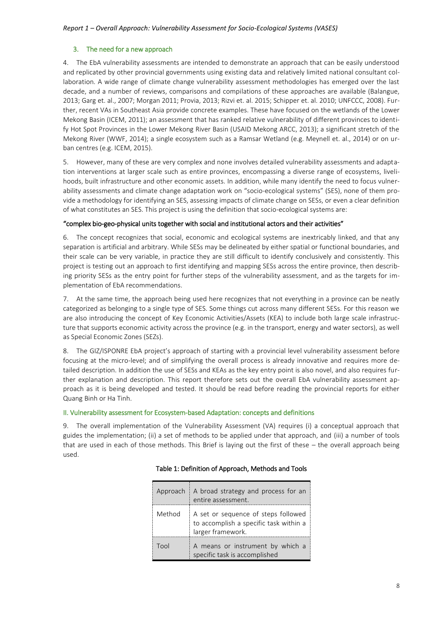#### <span id="page-7-0"></span>3. The need for a new approach

4. The EbA vulnerability assessments are intended to demonstrate an approach that can be easily understood and replicated by other provincial governments using existing data and relatively limited national consultant collaboration. A wide range of climate change vulnerability assessment methodologies has emerged over the last decade, and a number of reviews, comparisons and compilations of these approaches are available (Balangue, 2013; Garg et. al., 2007; Morgan 2011; Provia, 2013; Rizvi et. al. 2015; Schipper et. al. 2010; UNFCCC, 2008). Further, recent VAs in Southeast Asia provide concrete examples. These have focused on the wetlands of the Lower Mekong Basin (ICEM, 2011); an assessment that has ranked relative vulnerability of different provinces to identify Hot Spot Provinces in the Lower Mekong River Basin (USAID Mekong ARCC, 2013); a significant stretch of the Mekong River (WWF, 2014); a single ecosystem such as a Ramsar Wetland (e.g. Meynell et. al., 2014) or on urban centres (e.g. ICEM, 2015).

5. However, many of these are very complex and none involves detailed vulnerability assessments and adaptation interventions at larger scale such as entire provinces, encompassing a diverse range of ecosystems, livelihoods, built infrastructure and other economic assets. In addition, while many identify the need to focus vulnerability assessments and climate change adaptation work on "socio-ecological systems" (SES), none of them provide a methodology for identifying an SES, assessing impacts of climate change on SESs, or even a clear definition of what constitutes an SES. This project is using the definition that socio-ecological systems are:

#### "complex bio-geo-physical units together with social and institutional actors and their activities"

6. The concept recognizes that social, economic and ecological systems are inextricably linked, and that any separation is artificial and arbitrary. While SESs may be delineated by either spatial or functional boundaries, and their scale can be very variable, in practice they are still difficult to identify conclusively and consistently. This project is testing out an approach to first identifying and mapping SESs across the entire province, then describing priority SESs as the entry point for further steps of the vulnerability assessment, and as the targets for implementation of EbA recommendations.

7. At the same time, the approach being used here recognizes that not everything in a province can be neatly categorized as belonging to a single type of SES. Some things cut across many different SESs. For this reason we are also introducing the concept of Key Economic Activities/Assets (KEA) to include both large scale infrastructure that supports economic activity across the province (e.g. in the transport, energy and water sectors), as well as Special Economic Zones (SEZs).

8. The GIZ/ISPONRE EbA project's approach of starting with a provincial level vulnerability assessment before focusing at the micro-level; and of simplifying the overall process is already innovative and requires more detailed description. In addition the use of SESs and KEAs as the key entry point is also novel, and also requires further explanation and description. This report therefore sets out the overall EbA vulnerability assessment approach as it is being developed and tested. It should be read before reading the provincial reports for either Quang Binh or Ha Tinh.

#### <span id="page-7-1"></span>II. Vulnerability assessment for Ecosystem-based Adaptation: concepts and definitions

<span id="page-7-2"></span>9. The overall implementation of the Vulnerability Assessment (VA) requires (i) a conceptual approach that guides the implementation; (ii) a set of methods to be applied under that approach, and (iii) a number of tools that are used in each of those methods. This Brief is laying out the first of these – the overall approach being used.

| Approach | A broad strategy and process for an<br>entire assessment.                                          |
|----------|----------------------------------------------------------------------------------------------------|
| Method   | A set or sequence of steps followed<br>to accomplish a specific task within a<br>larger framework. |
| Tool     | A means or instrument by which a<br>specific task is accomplished                                  |

#### Table 1: Definition of Approach, Methods and Tools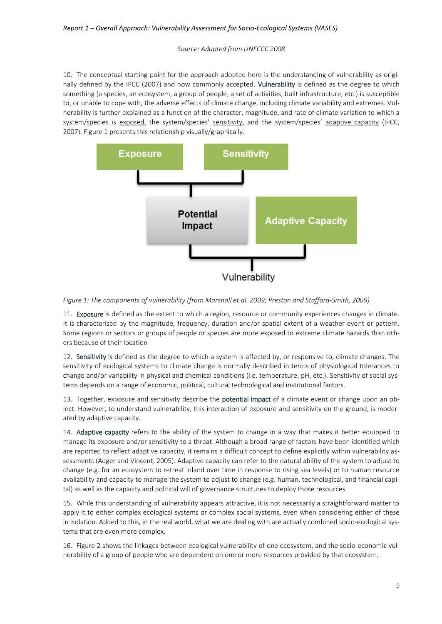#### *Source: Adapted from UNFCCC 2008*

10. The conceptual starting point for the approach adopted here is the understanding of vulnerability as originally defined by the IPCC (2007) and now commonly accepted. Vulnerability is defined as the degree to which something (a species, an ecosystem, a group of people, a set of activities, built infrastructure, etc.) is susceptible to, or unable to cope with, the adverse effects of climate change, including climate variability and extremes. Vulnerability is further explained as a function of the character, magnitude, and rate of climate variation to which a system/species is exposed, the system/species' sensitivity, and the system/species' adaptive capacity (IPCC, 2007). Figure 1 presents this relationship visually/graphically.



#### <span id="page-8-0"></span>*Figure 1: The components of vulnerability (from Marshall et al. 2009; Preston and Stafford-Smith, 2009)*

11. Exposure is defined as the extent to which a region, resource or community experiences changes in climate. It is characterised by the magnitude, frequency, duration and/or spatial extent of a weather event or pattern. Some regions or sectors or groups of people or species are more exposed to extreme climate hazards than others because of their location

12. Sensitivity is defined as the degree to which a system is affected by, or responsive to, climate changes. The sensitivity of ecological systems to climate change is normally described in terms of physiological tolerances to change and/or variability in physical and chemical conditions (i.e. temperature, pH, etc.). Sensitivity of social systems depends on a range of economic, political, cultural technological and institutional factors.

13. Together, exposure and sensitivity describe the potential impact of a climate event or change upon an object. However, to understand vulnerability, this interaction of exposure and sensitivity on the ground, is moderated by adaptive capacity.

14. Adaptive capacity refers to the ability of the system to change in a way that makes it better equipped to manage its exposure and/or sensitivity to a threat. Although a broad range of factors have been identified which are reported to reflect adaptive capacity, it remains a difficult concept to define explicitly within vulnerability assessments (Adger and Vincent, 2005). Adaptive capacity can refer to the natural ability of the system to adjust to change (e.g. for an ecosystem to retreat inland over time in response to rising sea levels) or to human resource availability and capacity to manage the system to adjust to change (e.g. human, technological, and financial capital) as well as the capacity and political will of governance structures to deploy those resources.

15. While this understanding of vulnerability appears attractive, it is not necessarily a straightforward matter to apply it to either complex ecological systems or complex social systems, even when considering either of these in isolation. Added to this, in the real world, what we are dealing with are actually combined socio-ecological systems that are even more complex.

16. Figure 2 shows the linkages between ecological vulnerability of one ecosystem, and the socio-economic vulnerability of a group of people who are dependent on one or more resources provided by that ecosystem.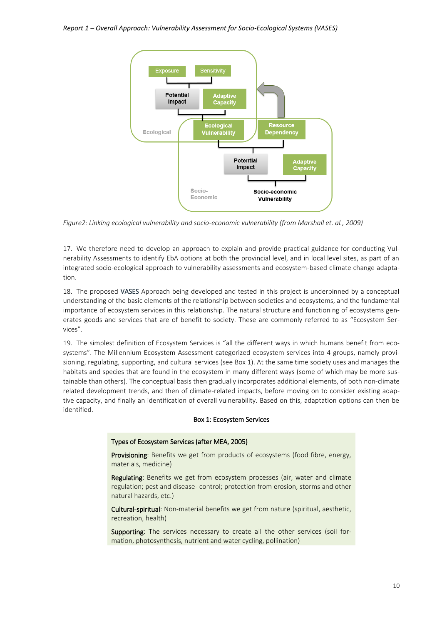

<span id="page-9-1"></span>*Figure2: Linking ecological vulnerability and socio-economic vulnerability (from Marshall et. al., 2009)*

17. We therefore need to develop an approach to explain and provide practical guidance for conducting Vulnerability Assessments to identify EbA options at both the provincial level, and in local level sites, as part of an integrated socio-ecological approach to vulnerability assessments and ecosystem-based climate change adaptation.

18. The proposed VASES Approach being developed and tested in this project is underpinned by a conceptual understanding of the basic elements of the relationship between societies and ecosystems, and the fundamental importance of ecosystem services in this relationship. The natural structure and functioning of ecosystems generates goods and services that are of benefit to society. These are commonly referred to as "Ecosystem Services".

19. The simplest definition of Ecosystem Services is "all the different ways in which humans benefit from ecosystems". The Millennium Ecosystem Assessment categorized ecosystem services into 4 groups, namely provisioning, regulating, supporting, and cultural services (see Box 1). At the same time society uses and manages the habitats and species that are found in the ecosystem in many different ways (some of which may be more sustainable than others). The conceptual basis then gradually incorporates additional elements, of both non-climate related development trends, and then of climate-related impacts, before moving on to consider existing adaptive capacity, and finally an identification of overall vulnerability. Based on this, adaptation options can then be identified.

#### Box 1: Ecosystem Services

#### Types of Ecosystem Services (after MEA, 2005)

Provisioning: Benefits we get from products of ecosystems (food fibre, energy, materials, medicine)

Regulating: Benefits we get from ecosystem processes (air, water and climate regulation; pest and disease- control; protection from erosion, storms and other natural hazards, etc.)

Cultural-spiritual: Non-material benefits we get from nature (spiritual, aesthetic, recreation, health)

<span id="page-9-0"></span>Supporting: The services necessary to create all the other services (soil formation, photosynthesis, nutrient and water cycling, pollination)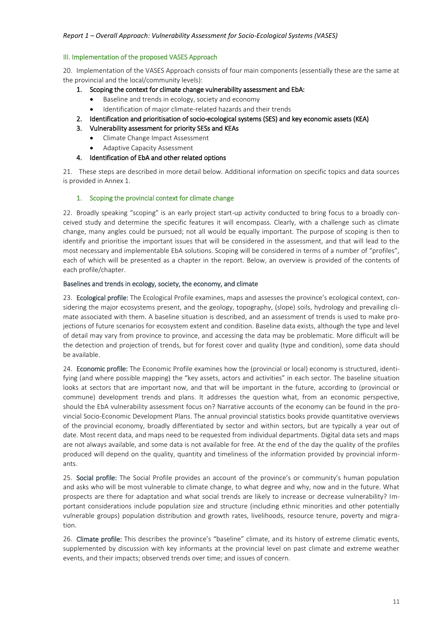#### III. Implementation of the proposed VASES Approach

20. Implementation of the VASES Approach consists of four main components (essentially these are the same at the provincial and the local/community levels):

- 1. Scoping the context for climate change vulnerability assessment and EbA:
	- Baseline and trends in ecology, society and economy
		- Identification of major climate-related hazards and their trends
- 2. Identification and prioritisation of socio-ecological systems (SES) and key economic assets (KEA)
- 3. Vulnerability assessment for priority SESs and KEAs
	- Climate Change Impact Assessment
	- Adaptive Capacity Assessment
- 4. Identification of EbA and other related options

21. These steps are described in more detail below. Additional information on specific topics and data sources is provided in Annex 1.

#### <span id="page-10-0"></span>1. Scoping the provincial context for climate change

22. Broadly speaking "scoping" is an early project start-up activity conducted to bring focus to a broadly conceived study and determine the specific features it will encompass. Clearly, with a challenge such as climate change, many angles could be pursued; not all would be equally important. The purpose of scoping is then to identify and prioritise the important issues that will be considered in the assessment, and that will lead to the most necessary and implementable EbA solutions. Scoping will be considered in terms of a number of "profiles", each of which will be presented as a chapter in the report. Below, an overview is provided of the contents of each profile/chapter.

#### Baselines and trends in ecology, society, the economy, and climate

23. Ecological profile: The Ecological Profile examines, maps and assesses the province's ecological context, considering the major ecosystems present, and the geology, topography, (slope) soils, hydrology and prevailing climate associated with them. A baseline situation is described, and an assessment of trends is used to make projections of future scenarios for ecosystem extent and condition. Baseline data exists, although the type and level of detail may vary from province to province, and accessing the data may be problematic. More difficult will be the detection and projection of trends, but for forest cover and quality (type and condition), some data should be available.

24. Economic profile: The Economic Profile examines how the (provincial or local) economy is structured, identifying (and where possible mapping) the "key assets, actors and activities" in each sector. The baseline situation looks at sectors that are important now, and that will be important in the future, according to (provincial or commune) development trends and plans. It addresses the question what, from an economic perspective, should the EbA vulnerability assessment focus on? Narrative accounts of the economy can be found in the provincial Socio-Economic Development Plans. The annual provincial statistics books provide quantitative overviews of the provincial economy, broadly differentiated by sector and within sectors, but are typically a year out of date. Most recent data, and maps need to be requested from individual departments. Digital data sets and maps are not always available, and some data is not available for free. At the end of the day the quality of the profiles produced will depend on the quality, quantity and timeliness of the information provided by provincial informants.

25. Social profile: The Social Profile provides an account of the province's or community's human population and asks who will be most vulnerable to climate change, to what degree and why, now and in the future. What prospects are there for adaptation and what social trends are likely to increase or decrease vulnerability? Important considerations include population size and structure (including ethnic minorities and other potentially vulnerable groups) population distribution and growth rates, livelihoods, resource tenure, poverty and migration.

26. Climate profile: This describes the province's "baseline" climate, and its history of extreme climatic events, supplemented by discussion with key informants at the provincial level on past climate and extreme weather events, and their impacts; observed trends over time; and issues of concern.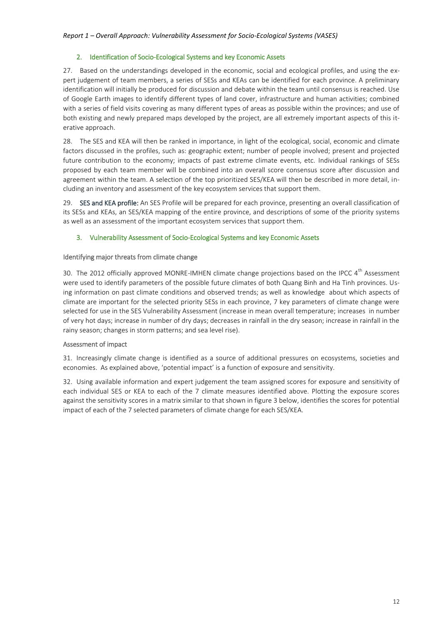#### 2. Identification of Socio-Ecological Systems and key Economic Assets

<span id="page-11-0"></span>27. Based on the understandings developed in the economic, social and ecological profiles, and using the expert judgement of team members, a series of SESs and KEAs can be identified for each province. A preliminary identification will initially be produced for discussion and debate within the team until consensus is reached. Use of Google Earth images to identify different types of land cover, infrastructure and human activities; combined with a series of field visits covering as many different types of areas as possible within the provinces; and use of both existing and newly prepared maps developed by the project, are all extremely important aspects of this iterative approach.

28. The SES and KEA will then be ranked in importance, in light of the ecological, social, economic and climate factors discussed in the profiles, such as: geographic extent; number of people involved; present and projected future contribution to the economy; impacts of past extreme climate events, etc. Individual rankings of SESs proposed by each team member will be combined into an overall score consensus score after discussion and agreement within the team. A selection of the top prioritized SES/KEA will then be described in more detail, including an inventory and assessment of the key ecosystem services that support them.

29. SES and KEA profile: An SES Profile will be prepared for each province, presenting an overall classification of its SESs and KEAs, an SES/KEA mapping of the entire province, and descriptions of some of the priority systems as well as an assessment of the important ecosystem services that support them.

#### <span id="page-11-1"></span>3. Vulnerability Assessment of Socio-Ecological Systems and key Economic Assets

#### Identifying major threats from climate change

30. The 2012 officially approved MONRE-IMHEN climate change projections based on the IPCC  $4^{\text{th}}$  Assessment were used to identify parameters of the possible future climates of both Quang Binh and Ha Tinh provinces. Using information on past climate conditions and observed trends; as well as knowledge about which aspects of climate are important for the selected priority SESs in each province, 7 key parameters of climate change were selected for use in the SES Vulnerability Assessment (increase in mean overall temperature; increases in number of very hot days; increase in number of dry days; decreases in rainfall in the dry season; increase in rainfall in the rainy season; changes in storm patterns; and sea level rise).

#### Assessment of impact

31. Increasingly climate change is identified as a source of additional pressures on ecosystems, societies and economies. As explained above, 'potential impact' is a function of exposure and sensitivity.

32. Using available information and expert judgement the team assigned scores for exposure and sensitivity of each individual SES or KEA to each of the 7 climate measures identified above. Plotting the exposure scores against the sensitivity scores in a matrix similar to that shown in figure 3 below, identifies the scores for potential impact of each of the 7 selected parameters of climate change for each SES/KEA.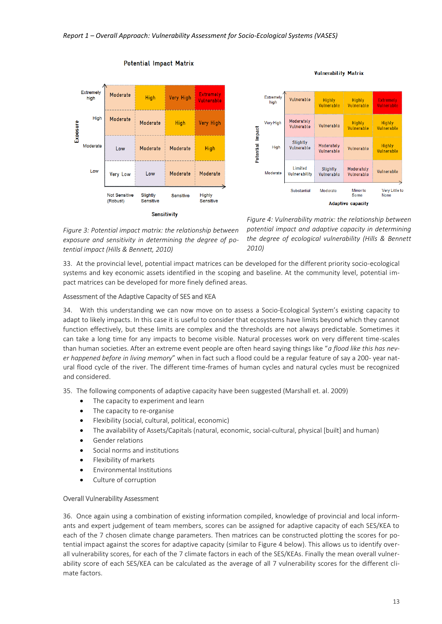<span id="page-12-0"></span>

**Potential Impact Matrix** 



**Sensitivity** 

<span id="page-12-1"></span>*Figure 4: Vulnerability matrix: the relationship between potential impact and adaptive capacity in determining the degree of ecological vulnerability (Hills & Bennett 2010)*

33. At the provincial level, potential impact matrices can be developed for the different priority socio-ecological systems and key economic assets identified in the scoping and baseline. At the community level, potential impact matrices can be developed for more finely defined areas.

#### Assessment of the Adaptive Capacity of SES and KEA

34. With this understanding we can now move on to assess a Socio-Ecological System's existing capacity to adapt to likely impacts. In this case it is useful to consider that ecosystems have limits beyond which they cannot function effectively, but these limits are complex and the thresholds are not always predictable. Sometimes it can take a long time for any impacts to become visible. Natural processes work on very different time-scales than human societies. After an extreme event people are often heard saying things like "*a flood like this has never happened before in living memory*" when in fact such a flood could be a regular feature of say a 200- year natural flood cycle of the river. The different time-frames of human cycles and natural cycles must be recognized and considered.

35. The following components of adaptive capacity have been suggested (Marshall et. al. 2009)

- The capacity to experiment and learn
- The capacity to re-organise
- Flexibility (social, cultural, political, economic)
- The availability of Assets/Capitals (natural, economic, social-cultural, physical [built] and human)
- Gender relations
- Social norms and institutions
- Flexibility of markets
- Environmental Institutions
- Culture of corruption

#### Overall Vulnerability Assessment

36. Once again using a combination of existing information compiled, knowledge of provincial and local informants and expert judgement of team members, scores can be assigned for adaptive capacity of each SES/KEA to each of the 7 chosen climate change parameters. Then matrices can be constructed plotting the scores for potential impact against the scores for adaptive capacity (similar to Figure 4 below). This allows us to identify overall vulnerability scores, for each of the 7 climate factors in each of the SES/KEAs. Finally the mean overall vulnerability score of each SES/KEA can be calculated as the average of all 7 vulnerability scores for the different climate factors.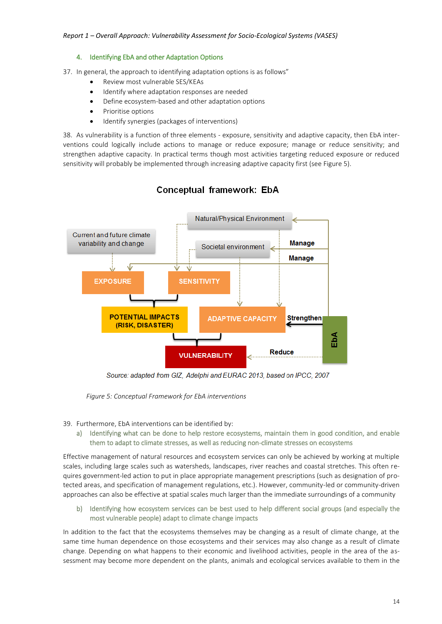#### 4. Identifying EbA and other Adaptation Options

<span id="page-13-0"></span>37. In general, the approach to identifying adaptation options is as follows"

- Review most vulnerable SES/KEAs
- Identify where adaptation responses are needed
- Define ecosystem-based and other adaptation options
- Prioritise options
- Identify synergies (packages of interventions)

38. As vulnerability is a function of three elements - exposure, sensitivity and adaptive capacity, then EbA interventions could logically include actions to manage or reduce exposure; manage or reduce sensitivity; and strengthen adaptive capacity. In practical terms though most activities targeting reduced exposure or reduced sensitivity will probably be implemented through increasing adaptive capacity first (see Figure 5).



### Conceptual framework: EbA

Source: adapted from GIZ, Adelphi and EURAC 2013, based on IPCC, 2007

<span id="page-13-1"></span> *Figure 5: Conceptual Framework for EbA interventions*

39. Furthermore, EbA interventions can be identified by:

a) Identifying what can be done to help restore ecosystems, maintain them in good condition, and enable them to adapt to climate stresses, as well as reducing non-climate stresses on ecosystems

Effective management of natural resources and ecosystem services can only be achieved by working at multiple scales, including large scales such as watersheds, landscapes, river reaches and coastal stretches. This often requires government-led action to put in place appropriate management prescriptions (such as designation of protected areas, and specification of management regulations, etc.). However, community-led or community-driven approaches can also be effective at spatial scales much larger than the immediate surroundings of a community

b) Identifying how ecosystem services can be best used to help different social groups (and especially the most vulnerable people) adapt to climate change impacts

In addition to the fact that the ecosystems themselves may be changing as a result of climate change, at the same time human dependence on those ecosystems and their services may also change as a result of climate change. Depending on what happens to their economic and livelihood activities, people in the area of the assessment may become more dependent on the plants, animals and ecological services available to them in the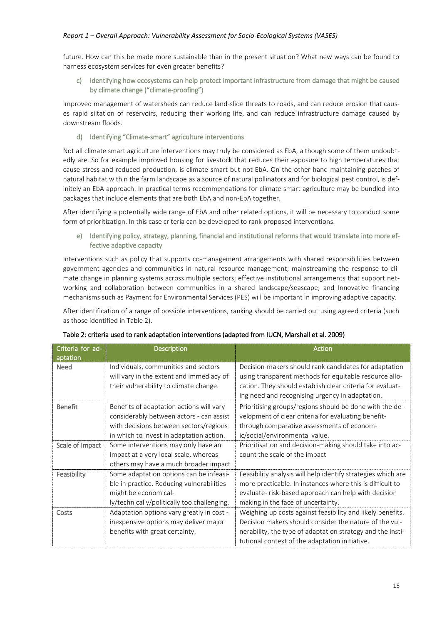future. How can this be made more sustainable than in the present situation? What new ways can be found to harness ecosystem services for even greater benefits?

#### c) Identifying how ecosystems can help protect important infrastructure from damage that might be caused by climate change ("climate-proofing")

Improved management of watersheds can reduce land-slide threats to roads, and can reduce erosion that causes rapid siltation of reservoirs, reducing their working life, and can reduce infrastructure damage caused by downstream floods.

#### d) Identifying "Climate-smart" agriculture interventions

Not all climate smart agriculture interventions may truly be considered as EbA, although some of them undoubtedly are. So for example improved housing for livestock that reduces their exposure to high temperatures that cause stress and reduced production, is climate-smart but not EbA. On the other hand maintaining patches of natural habitat within the farm landscape as a source of natural pollinators and for biological pest control, is definitely an EbA approach. In practical terms recommendations for climate smart agriculture may be bundled into packages that include elements that are both EbA and non-EbA together.

After identifying a potentially wide range of EbA and other related options, it will be necessary to conduct some form of prioritization. In this case criteria can be developed to rank proposed interventions.

e) Identifying policy, strategy, planning, financial and institutional reforms that would translate into more effective adaptive capacity

Interventions such as policy that supports co-management arrangements with shared responsibilities between government agencies and communities in natural resource management; mainstreaming the response to climate change in planning systems across multiple sectors; effective institutional arrangements that support networking and collaboration between communities in a shared landscape/seascape; and Innovative financing mechanisms such as Payment for Environmental Services (PES) will be important in improving adaptive capacity.

<span id="page-14-0"></span>After identification of a range of possible interventions, ranking should be carried out using agreed criteria (such as those identified in Table 2).

| Criteria for ad-<br>aptation | <b>Description</b>                                                                                                                                                         | <b>Action</b>                                                                                                                                                                                                                        |
|------------------------------|----------------------------------------------------------------------------------------------------------------------------------------------------------------------------|--------------------------------------------------------------------------------------------------------------------------------------------------------------------------------------------------------------------------------------|
| <b>Need</b>                  | Individuals, communities and sectors<br>will vary in the extent and immediacy of<br>their vulnerability to climate change.                                                 | Decision-makers should rank candidates for adaptation<br>using transparent methods for equitable resource allo-<br>cation. They should establish clear criteria for evaluat-<br>ing need and recognising urgency in adaptation.      |
| <b>Benefit</b>               | Benefits of adaptation actions will vary<br>considerably between actors - can assist<br>with decisions between sectors/regions<br>in which to invest in adaptation action. | Prioritising groups/regions should be done with the de-<br>velopment of clear criteria for evaluating benefit-<br>through comparative assessments of econom-<br>ic/social/environmental value.                                       |
| Scale of Impact              | Some interventions may only have an<br>impact at a very local scale, whereas<br>others may have a much broader impact                                                      | Prioritisation and decision-making should take into ac-<br>count the scale of the impact                                                                                                                                             |
| Feasibility                  | Some adaptation options can be infeasi-<br>ble in practice. Reducing vulnerabilities<br>might be economical-<br>ly/technically/politically too challenging.                | Feasibility analysis will help identify strategies which are<br>more practicable. In instances where this is difficult to<br>evaluate- risk-based approach can help with decision<br>making in the face of uncertainty.              |
| Costs                        | Adaptation options vary greatly in cost -<br>inexpensive options may deliver major<br>benefits with great certainty.                                                       | Weighing up costs against feasibility and likely benefits.<br>Decision makers should consider the nature of the vul-<br>nerability, the type of adaptation strategy and the insti-<br>tutional context of the adaptation initiative. |

#### Table 2: criteria used to rank adaptation interventions (adapted from IUCN, Marshall et al. 2009)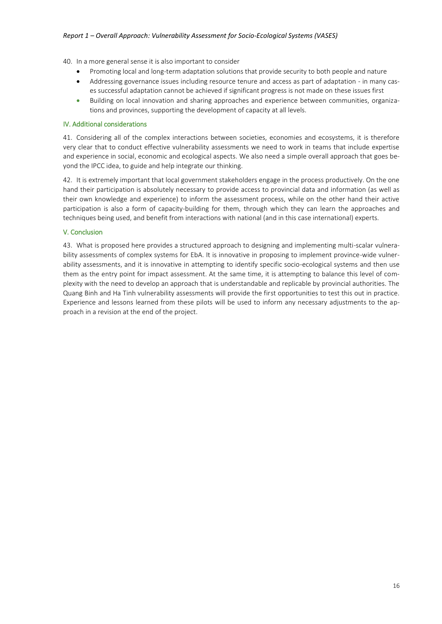40. In a more general sense it is also important to consider

- Promoting local and long-term adaptation solutions that provide security to both people and nature
- Addressing governance issues including resource tenure and access as part of adaptation in many cases successful adaptation cannot be achieved if significant progress is not made on these issues first
- <span id="page-15-0"></span> Building on local innovation and sharing approaches and experience between communities, organizations and provinces, supporting the development of capacity at all levels.

#### IV. Additional considerations

41. Considering all of the complex interactions between societies, economies and ecosystems, it is therefore very clear that to conduct effective vulnerability assessments we need to work in teams that include expertise and experience in social, economic and ecological aspects. We also need a simple overall approach that goes beyond the IPCC idea, to guide and help integrate our thinking.

42. It is extremely important that local government stakeholders engage in the process productively. On the one hand their participation is absolutely necessary to provide access to provincial data and information (as well as their own knowledge and experience) to inform the assessment process, while on the other hand their active participation is also a form of capacity-building for them, through which they can learn the approaches and techniques being used, and benefit from interactions with national (and in this case international) experts.

#### <span id="page-15-1"></span>V. Conclusion

43. What is proposed here provides a structured approach to designing and implementing multi-scalar vulnerability assessments of complex systems for EbA. It is innovative in proposing to implement province-wide vulnerability assessments, and it is innovative in attempting to identify specific socio-ecological systems and then use them as the entry point for impact assessment. At the same time, it is attempting to balance this level of complexity with the need to develop an approach that is understandable and replicable by provincial authorities. The Quang Binh and Ha Tinh vulnerability assessments will provide the first opportunities to test this out in practice. Experience and lessons learned from these pilots will be used to inform any necessary adjustments to the approach in a revision at the end of the project.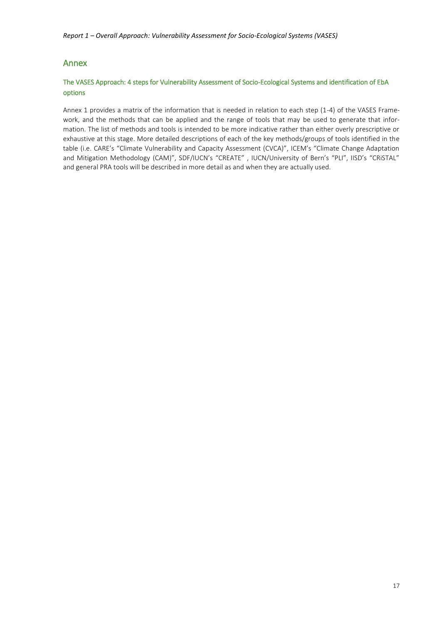#### <span id="page-16-0"></span>Annex

#### The VASES Approach: 4 steps for Vulnerability Assessment of Socio-Ecological Systems and identification of EbA options

Annex 1 provides a matrix of the information that is needed in relation to each step (1-4) of the VASES Framework, and the methods that can be applied and the range of tools that may be used to generate that information. The list of methods and tools is intended to be more indicative rather than either overly prescriptive or exhaustive at this stage. More detailed descriptions of each of the key methods/groups of tools identified in the table (i.e. CARE's "Climate Vulnerability and Capacity Assessment (CVCA)", ICEM's "Climate Change Adaptation and Mitigation Methodology (CAM)", SDF/IUCN's "CREATE", IUCN/University of Bern's "PLI", IISD's "CRiSTAL" and general PRA tools will be described in more detail as and when they are actually used.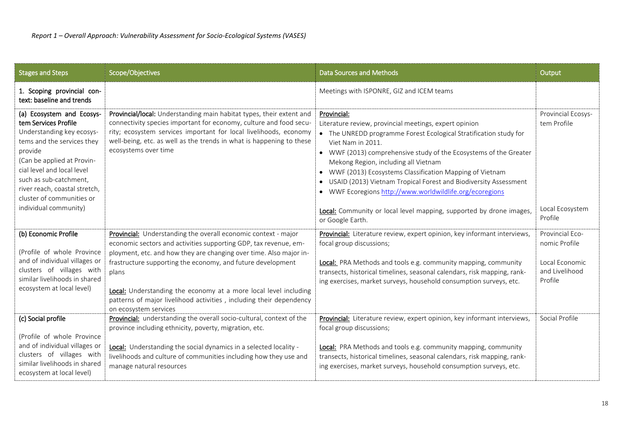| <b>Stages and Steps</b>                                                                                                                                                                                                                        | Scope/Objectives                                                                                                                                                                                                                                                                                                                                                                                                                                            | <b>Data Sources and Methods</b>                                                                                                                                                                                                                                                                                                                                                                                                                                             | Output                                                                          |
|------------------------------------------------------------------------------------------------------------------------------------------------------------------------------------------------------------------------------------------------|-------------------------------------------------------------------------------------------------------------------------------------------------------------------------------------------------------------------------------------------------------------------------------------------------------------------------------------------------------------------------------------------------------------------------------------------------------------|-----------------------------------------------------------------------------------------------------------------------------------------------------------------------------------------------------------------------------------------------------------------------------------------------------------------------------------------------------------------------------------------------------------------------------------------------------------------------------|---------------------------------------------------------------------------------|
| 1. Scoping provincial con-<br>text: baseline and trends                                                                                                                                                                                        |                                                                                                                                                                                                                                                                                                                                                                                                                                                             | Meetings with ISPONRE, GIZ and ICEM teams                                                                                                                                                                                                                                                                                                                                                                                                                                   |                                                                                 |
| (a) Ecosystem and Ecosys-<br>tem Services Profile<br>Understanding key ecosys-<br>tems and the services they<br>provide<br>(Can be applied at Provin-<br>cial level and local level<br>such as sub-catchment,<br>river reach, coastal stretch, | Provincial/local: Understanding main habitat types, their extent and<br>connectivity species important for economy, culture and food secu-<br>rity; ecosystem services important for local livelihoods, economy<br>well-being, etc. as well as the trends in what is happening to these<br>ecosystems over time                                                                                                                                             | Provincial:<br>Literature review, provincial meetings, expert opinion<br>• The UNREDD programme Forest Ecological Stratification study for<br>Viet Nam in 2011.<br>• WWF (2013) comprehensive study of the Ecosystems of the Greater<br>Mekong Region, including all Vietnam<br>• WWF (2013) Ecosystems Classification Mapping of Vietnam<br>• USAID (2013) Vietnam Tropical Forest and Biodiversity Assessment<br>• WWF Ecoregions http://www.worldwildlife.org/ecoregions | Provincial Ecosys-<br>tem Profile                                               |
| cluster of communities or<br>individual community)                                                                                                                                                                                             |                                                                                                                                                                                                                                                                                                                                                                                                                                                             | Local: Community or local level mapping, supported by drone images,<br>or Google Earth.                                                                                                                                                                                                                                                                                                                                                                                     | Local Ecosystem<br>Profile                                                      |
| (b) Economic Profile<br>(Profile of whole Province<br>and of individual villages or<br>clusters of villages with<br>similar livelihoods in shared<br>ecosystem at local level)                                                                 | <b>Provincial:</b> Understanding the overall economic context - major<br>economic sectors and activities supporting GDP, tax revenue, em-<br>ployment, etc. and how they are changing over time. Also major in-<br>frastructure supporting the economy, and future development<br>plans<br>Local: Understanding the economy at a more local level including<br>patterns of major livelihood activities, including their dependency<br>on ecosystem services | Provincial: Literature review, expert opinion, key informant interviews,<br>focal group discussions;<br>Local: PRA Methods and tools e.g. community mapping, community<br>transects, historical timelines, seasonal calendars, risk mapping, rank-<br>ing exercises, market surveys, household consumption surveys, etc.                                                                                                                                                    | Provincial Eco-<br>nomic Profile<br>Local Economic<br>and Livelihood<br>Profile |
| (c) Social profile<br>(Profile of whole Province<br>and of individual villages or<br>clusters of villages with<br>similar livelihoods in shared<br>ecosystem at local level)                                                                   | Provincial: understanding the overall socio-cultural, context of the<br>province including ethnicity, poverty, migration, etc.<br>Local: Understanding the social dynamics in a selected locality -<br>livelihoods and culture of communities including how they use and<br>manage natural resources                                                                                                                                                        | Provincial: Literature review, expert opinion, key informant interviews,<br>focal group discussions;<br>Local: PRA Methods and tools e.g. community mapping, community<br>transects, historical timelines, seasonal calendars, risk mapping, rank-<br>ing exercises, market surveys, household consumption surveys, etc.                                                                                                                                                    | Social Profile                                                                  |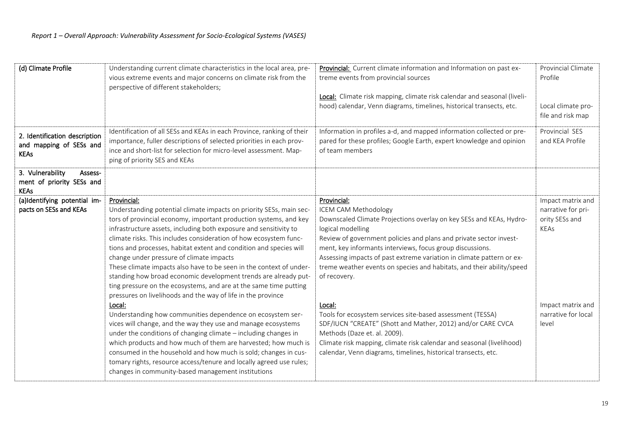| (d) Climate Profile                                                     | Understanding current climate characteristics in the local area, pre-<br>vious extreme events and major concerns on climate risk from the<br>perspective of different stakeholders;                                                                                                                                                                                                                                                                                                                                                                                                                                                                                                                                                                                                                                                                                                                                                                                                                                                                                                                                                                                              | Provincial: Current climate information and Information on past ex-<br>treme events from provincial sources<br>Local: Climate risk mapping, climate risk calendar and seasonal (liveli-<br>hood) calendar, Venn diagrams, timelines, historical transects, etc.                                                                                                                                                                                                                                                                                                                                                                                                                                                                                               | Provincial Climate<br>Profile<br>Local climate pro-<br>file and risk map                                               |
|-------------------------------------------------------------------------|----------------------------------------------------------------------------------------------------------------------------------------------------------------------------------------------------------------------------------------------------------------------------------------------------------------------------------------------------------------------------------------------------------------------------------------------------------------------------------------------------------------------------------------------------------------------------------------------------------------------------------------------------------------------------------------------------------------------------------------------------------------------------------------------------------------------------------------------------------------------------------------------------------------------------------------------------------------------------------------------------------------------------------------------------------------------------------------------------------------------------------------------------------------------------------|---------------------------------------------------------------------------------------------------------------------------------------------------------------------------------------------------------------------------------------------------------------------------------------------------------------------------------------------------------------------------------------------------------------------------------------------------------------------------------------------------------------------------------------------------------------------------------------------------------------------------------------------------------------------------------------------------------------------------------------------------------------|------------------------------------------------------------------------------------------------------------------------|
| 2. Identification description<br>and mapping of SESs and<br><b>KEAs</b> | Identification of all SESs and KEAs in each Province, ranking of their<br>importance, fuller descriptions of selected priorities in each prov-<br>ince and short-list for selection for micro-level assessment. Map-<br>ping of priority SES and KEAs                                                                                                                                                                                                                                                                                                                                                                                                                                                                                                                                                                                                                                                                                                                                                                                                                                                                                                                            | Information in profiles a-d, and mapped information collected or pre-<br>pared for these profiles; Google Earth, expert knowledge and opinion<br>of team members                                                                                                                                                                                                                                                                                                                                                                                                                                                                                                                                                                                              | Provincial SES<br>and KEA Profile                                                                                      |
| 3. Vulnerability<br>Assess-<br>ment of priority SESs and<br><b>KEAs</b> |                                                                                                                                                                                                                                                                                                                                                                                                                                                                                                                                                                                                                                                                                                                                                                                                                                                                                                                                                                                                                                                                                                                                                                                  |                                                                                                                                                                                                                                                                                                                                                                                                                                                                                                                                                                                                                                                                                                                                                               |                                                                                                                        |
| (a)Identifying potential im-<br>pacts on SESs and KEAs                  | Provincial:<br>Understanding potential climate impacts on priority SESs, main sec-<br>tors of provincial economy, important production systems, and key<br>infrastructure assets, including both exposure and sensitivity to<br>climate risks. This includes consideration of how ecosystem func-<br>tions and processes, habitat extent and condition and species will<br>change under pressure of climate impacts<br>These climate impacts also have to be seen in the context of under-<br>standing how broad economic development trends are already put-<br>ting pressure on the ecosystems, and are at the same time putting<br>pressures on livelihoods and the way of life in the province<br>Local:<br>Understanding how communities dependence on ecosystem ser-<br>vices will change, and the way they use and manage ecosystems<br>under the conditions of changing climate - including changes in<br>which products and how much of them are harvested; how much is<br>consumed in the household and how much is sold; changes in cus-<br>tomary rights, resource access/tenure and locally agreed use rules;<br>changes in community-based management institutions | Provincial:<br><b>ICEM CAM Methodology</b><br>Downscaled Climate Projections overlay on key SESs and KEAs, Hydro-<br>logical modelling<br>Review of government policies and plans and private sector invest-<br>ment, key informants interviews, focus group discussions.<br>Assessing impacts of past extreme variation in climate pattern or ex-<br>treme weather events on species and habitats, and their ability/speed<br>of recovery.<br>Local:<br>Tools for ecosystem services site-based assessment (TESSA)<br>SDF/IUCN "CREATE" (Shott and Mather, 2012) and/or CARE CVCA<br>Methods (Daze et. al. 2009).<br>Climate risk mapping, climate risk calendar and seasonal (livelihood)<br>calendar, Venn diagrams, timelines, historical transects, etc. | Impact matrix and<br>narrative for pri-<br>ority SESs and<br>KEAs<br>Impact matrix and<br>narrative for local<br>level |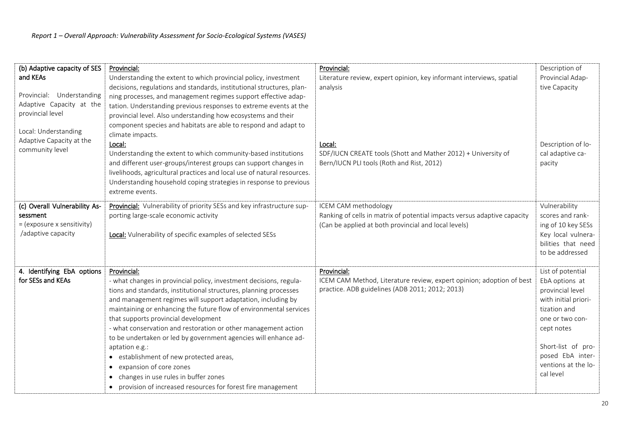| (b) Adaptive capacity of SES  | Provincial:                                                                                                                             | Provincial:                                                              | Description of       |
|-------------------------------|-----------------------------------------------------------------------------------------------------------------------------------------|--------------------------------------------------------------------------|----------------------|
| and KEAs                      | Understanding the extent to which provincial policy, investment                                                                         | Literature review, expert opinion, key informant interviews, spatial     | Provincial Adap-     |
| Provincial: Understanding     | decisions, regulations and standards, institutional structures, plan-<br>ning processes, and management regimes support effective adap- | analysis                                                                 | tive Capacity        |
| Adaptive Capacity at the      | tation. Understanding previous responses to extreme events at the                                                                       |                                                                          |                      |
| provincial level              | provincial level. Also understanding how ecosystems and their                                                                           |                                                                          |                      |
|                               | component species and habitats are able to respond and adapt to                                                                         |                                                                          |                      |
| Local: Understanding          | climate impacts.                                                                                                                        |                                                                          |                      |
| Adaptive Capacity at the      | Local:                                                                                                                                  | Local:                                                                   | Description of lo-   |
| community level               | Understanding the extent to which community-based institutions                                                                          | SDF/IUCN CREATE tools (Shott and Mather 2012) + University of            | cal adaptive ca-     |
|                               | and different user-groups/interest groups can support changes in                                                                        | Bern/IUCN PLI tools (Roth and Rist, 2012)                                | pacity               |
|                               | livelihoods, agricultural practices and local use of natural resources.                                                                 |                                                                          |                      |
|                               | Understanding household coping strategies in response to previous                                                                       |                                                                          |                      |
|                               | extreme events.                                                                                                                         |                                                                          |                      |
| (c) Overall Vulnerability As- | Provincial: Vulnerability of priority SESs and key infrastructure sup-                                                                  | ICEM CAM methodology                                                     | Vulnerability        |
| sessment                      | porting large-scale economic activity                                                                                                   | Ranking of cells in matrix of potential impacts versus adaptive capacity | scores and rank-     |
| = (exposure x sensitivity)    |                                                                                                                                         | (Can be applied at both provincial and local levels)                     | ing of 10 key SESs   |
| /adaptive capacity            | <b>Local:</b> Vulnerability of specific examples of selected SESs                                                                       |                                                                          | Key local vulnera-   |
|                               |                                                                                                                                         |                                                                          | bilities that need   |
|                               |                                                                                                                                         |                                                                          | to be addressed      |
| 4. Identifying EbA options    | Provincial:                                                                                                                             | Provincial:                                                              | List of potential    |
| for SESs and KEAs             | - what changes in provincial policy, investment decisions, regula-                                                                      | ICEM CAM Method, Literature review, expert opinion; adoption of best     | EbA options at       |
|                               | tions and standards, institutional structures, planning processes                                                                       | practice. ADB guidelines (ADB 2011; 2012; 2013)                          | provincial level     |
|                               | and management regimes will support adaptation, including by                                                                            |                                                                          | with initial priori- |
|                               | maintaining or enhancing the future flow of environmental services                                                                      |                                                                          | tization and         |
|                               | that supports provincial development                                                                                                    |                                                                          | one or two con-      |
|                               | - what conservation and restoration or other management action                                                                          |                                                                          | cept notes           |
|                               | to be undertaken or led by government agencies will enhance ad-                                                                         |                                                                          | Short-list of pro-   |
|                               | aptation e.g.:<br>• establishment of new protected areas,                                                                               |                                                                          | posed EbA inter-     |
|                               | expansion of core zones                                                                                                                 |                                                                          | ventions at the lo-  |
|                               | changes in use rules in buffer zones                                                                                                    |                                                                          | cal level            |
|                               | • provision of increased resources for forest fire management                                                                           |                                                                          |                      |
|                               |                                                                                                                                         |                                                                          |                      |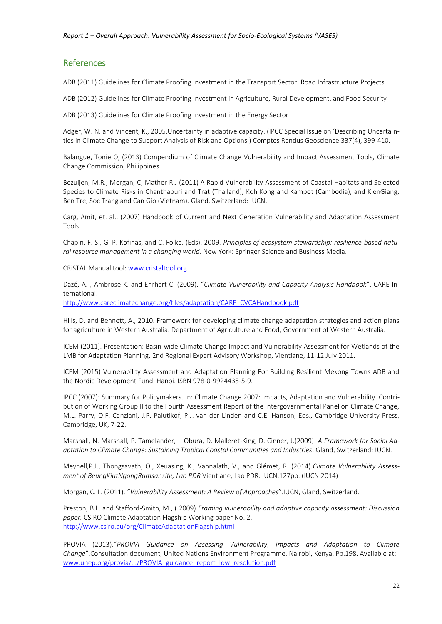#### <span id="page-21-0"></span>References

ADB (2011) Guidelines for Climate Proofing Investment in the Transport Sector: Road Infrastructure Projects

ADB (2012) Guidelines for Climate Proofing Investment in Agriculture, Rural Development, and Food Security

ADB (2013) Guidelines for Climate Proofing Investment in the Energy Sector

Adger, W. N. and Vincent, K., 2005.Uncertainty in adaptive capacity. (IPCC Special Issue on 'Describing Uncertainties in Climate Change to Support Analysis of Risk and Options') Comptes Rendus Geoscience 337(4), 399-410.

Balangue, Tonie O, (2013) Compendium of Climate Change Vulnerability and Impact Assessment Tools, Climate Change Commission, Philippines.

Bezuijen, M.R., Morgan, C, Mather R.J (2011) A Rapid Vulnerability Assessment of Coastal Habitats and Selected Species to Climate Risks in Chanthaburi and Trat (Thailand), Koh Kong and Kampot (Cambodia), and KienGiang, Ben Tre, Soc Trang and Can Gio (Vietnam). Gland, Switzerland: IUCN.

Carg, Amit, et. al., (2007) Handbook of Current and Next Generation Vulnerability and Adaptation Assessment Tools

Chapin, F. S., G. P. Kofinas, and C. Folke. (Eds). 2009. *Principles of ecosystem stewardship: resilience-based natural resource management in a changing world*. New York: Springer Science and Business Media.

CRiSTAL Manual tool: [www.cristaltool.org](http://www.cristaltool.org/)

Dazé, A. , Ambrose K. and Ehrhart C. (2009). "*Climate Vulnerability and Capacity Analysis Handbook*". CARE International. [http://www.careclimatechange.org/files/adaptation/CARE\\_CVCAHandbook.pdf](http://www.careclimatechange.org/files/adaptation/CARE_CVCAHandbook.pdf)

Hills, D. and Bennett, A., 2010. Framework for developing climate change adaptation strategies and action plans for agriculture in Western Australia. Department of Agriculture and Food, Government of Western Australia.

ICEM (2011). Presentation: Basin-wide Climate Change Impact and Vulnerability Assessment for Wetlands of the LMB for Adaptation Planning. 2nd Regional Expert Advisory Workshop, Vientiane, 11-12 July 2011.

ICEM (2015) Vulnerability Assessment and Adaptation Planning For Building Resilient Mekong Towns ADB and the Nordic Development Fund, Hanoi. ISBN 978-0-9924435-5-9.

IPCC (2007): Summary for Policymakers. In: Climate Change 2007: Impacts, Adaptation and Vulnerability. Contribution of Working Group II to the Fourth Assessment Report of the Intergovernmental Panel on Climate Change, M.L. Parry, O.F. Canziani, J.P. Palutikof, P.J. van der Linden and C.E. Hanson, Eds., Cambridge University Press, Cambridge, UK, 7-22.

Marshall, N. Marshall, P. Tamelander, J. Obura, D. Malleret-King, D. Cinner, J.(2009). *A Framework for Social Adaptation to Climate Change: Sustaining Tropical Coastal Communities and Industries*. Gland, Switzerland: IUCN.

Meynell,P.J., Thongsavath, O., Xeuasing, K., Vannalath, V., and Glémet, R. (2014).*Climate Vulnerability Assessment of BeungKiatNgongRamsar site, Lao PDR* Vientiane, Lao PDR: IUCN.127pp. (IUCN 2014)

Morgan, C. L. (2011). "*Vulnerability Assessment: A Review of Approaches*".IUCN, Gland, Switzerland.

Preston, B.L. and Stafford-Smith, M., ( 2009) *Framing vulnerability and adaptive capacity assessment: Discussion paper.* CSIRO Climate Adaptation Flagship Working paper No. 2. <http://www.csiro.au/org/ClimateAdaptationFlagship.html>

PROVIA (2013)."*PROVIA Guidance on Assessing Vulnerability, Impacts and Adaptation to Climate Change*".Consultation document, United Nations Environment Programme, Nairobi, Kenya, Pp.198. Available at: [www.unep.org/provia/.../PROVIA\\_guidance\\_report\\_low\\_resolution.pdf](http://www.unep.org/provia/.../PROVIA_guidance_report_low_resolution.pdf)